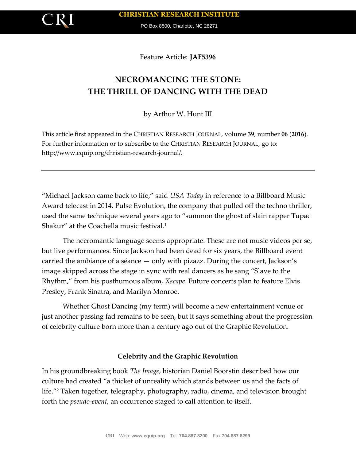

PO Box 8500, Charlotte, NC 28271

Feature Article: **JAF5396**

# **NECROMANCING THE STONE: THE THRILL OF DANCING WITH THE DEAD**

by Arthur W. Hunt III

This article first appeared in the CHRISTIAN RESEARCH JOURNAL, volume **39**, number **06** (**2016**). For further information or to subscribe to the CHRISTIAN RESEARCH JOURNAL, go to: http://www.equip.org/christian-research-journal/.

"Michael Jackson came back to life," said *USA Today* in reference to a Billboard Music Award telecast in 2014. Pulse Evolution, the company that pulled off the techno thriller, used the same technique several years ago to "summon the ghost of slain rapper Tupac Shakur" at the Coachella music festival.<sup>1</sup>

The necromantic language seems appropriate. These are not music videos per se, but live performances. Since Jackson had been dead for six years, the Billboard event carried the ambiance of a séance — only with pizazz. During the concert, Jackson's image skipped across the stage in sync with real dancers as he sang "Slave to the Rhythm," from his posthumous album, *Xscape*. Future concerts plan to feature Elvis Presley, Frank Sinatra, and Marilyn Monroe.

Whether Ghost Dancing (my term) will become a new entertainment venue or just another passing fad remains to be seen, but it says something about the progression of celebrity culture born more than a century ago out of the Graphic Revolution.

## **Celebrity and the Graphic Revolution**

In his groundbreaking book *The Image*, historian Daniel Boorstin described how our culture had created "a thicket of unreality which stands between us and the facts of life."<sup>2</sup> Taken together, telegraphy, photography, radio, cinema, and television brought forth the *pseudo-event*, an occurrence staged to call attention to itself.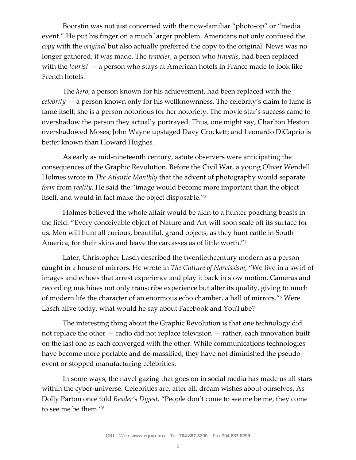Boorstin was not just concerned with the now-familiar "photo-op" or "media event." He put his finger on a much larger problem. Americans not only confused the *copy* with the *original* but also actually preferred the copy to the original. News was no longer gathered; it was made. The *traveler*, a person who *travails*, had been replaced with the *tourist* — a person who stays at American hotels in France made to look like French hotels.

The *hero*, a person known for his achievement, had been replaced with the *celebrity* — a person known only for his wellknownness. The celebrity's claim to fame is fame itself; she is a person notorious for her notoriety. The movie star's success came to overshadow the person they actually portrayed. Thus, one might say, Charlton Heston overshadowed Moses; John Wayne upstaged Davy Crockett; and Leonardo DiCaprio is better known than Howard Hughes.

As early as mid-nineteenth century, astute observers were anticipating the consequences of the Graphic Revolution. Before the Civil War, a young Oliver Wendell Holmes wrote in *The Atlantic Monthly* that the advent of photography would separate *form* from *reality*. He said the "image would become more important than the object itself, and would in fact make the object disposable."<sup>3</sup>

Holmes believed the whole affair would be akin to a hunter poaching beasts in the field: "Every conceivable object of Nature and Art will soon scale off its surface for us. Men will hunt all curious, beautiful, grand objects, as they hunt cattle in South America, for their skins and leave the carcasses as of little worth."<sup>4</sup>

Later, Christopher Lasch described the twentiethcentury modern as a person caught in a house of mirrors. He wrote in *The Culture of Narcissism*, "We live in a swirl of images and echoes that arrest experience and play it back in slow motion. Cameras and recording machines not only transcribe experience but alter its quality, giving to much of modern life the character of an enormous echo chamber, a hall of mirrors."<sup>5</sup> Were Lasch alive today, what would he say about Facebook and YouTube?

The interesting thing about the Graphic Revolution is that one technology did not replace the other — radio did not replace television — rather, each innovation built on the last one as each converged with the other. While communications technologies have become more portable and de-massified, they have not diminished the pseudoevent or stopped manufacturing celebrities.

In some ways, the navel gazing that goes on in social media has made us all stars within the cyber-universe. Celebrities are, after all, dream wishes about ourselves. As Dolly Parton once told *Reader's Digest*, "People don't come to see me be me, they come to see me be them."6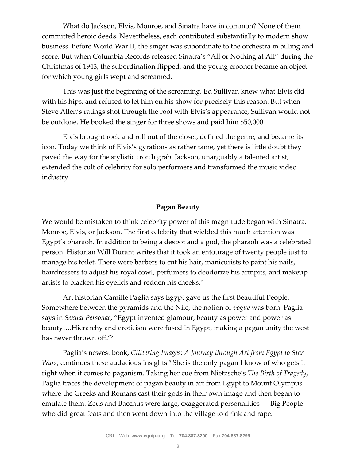What do Jackson, Elvis, Monroe, and Sinatra have in common? None of them committed heroic deeds. Nevertheless, each contributed substantially to modern show business. Before World War II, the singer was subordinate to the orchestra in billing and score. But when Columbia Records released Sinatra's "All or Nothing at All" during the Christmas of 1943, the subordination flipped, and the young crooner became an object for which young girls wept and screamed.

This was just the beginning of the screaming. Ed Sullivan knew what Elvis did with his hips, and refused to let him on his show for precisely this reason. But when Steve Allen's ratings shot through the roof with Elvis's appearance, Sullivan would not be outdone. He booked the singer for three shows and paid him \$50,000.

Elvis brought rock and roll out of the closet, defined the genre, and became its icon. Today we think of Elvis's gyrations as rather tame, yet there is little doubt they paved the way for the stylistic crotch grab. Jackson, unarguably a talented artist, extended the cult of celebrity for solo performers and transformed the music video industry.

#### **Pagan Beauty**

We would be mistaken to think celebrity power of this magnitude began with Sinatra, Monroe, Elvis, or Jackson. The first celebrity that wielded this much attention was Egypt's pharaoh. In addition to being a despot and a god, the pharaoh was a celebrated person. Historian Will Durant writes that it took an entourage of twenty people just to manage his toilet. There were barbers to cut his hair, manicurists to paint his nails, hairdressers to adjust his royal cowl, perfumers to deodorize his armpits, and makeup artists to blacken his eyelids and redden his cheeks.<sup>7</sup>

Art historian Camille Paglia says Egypt gave us the first Beautiful People. Somewhere between the pyramids and the Nile, the notion of *vogue* was born. Paglia says in *Sexual Personae*, "Egypt invented glamour, beauty as power and power as beauty….Hierarchy and eroticism were fused in Egypt, making a pagan unity the west has never thrown off."<sup>8</sup>

Paglia's newest book, *Glittering Images: A Journey through Art from Egypt to Star Wars*, continues these audacious insights.<sup>9</sup> She is the only pagan I know of who gets it right when it comes to paganism. Taking her cue from Nietzsche's *The Birth of Tragedy*, Paglia traces the development of pagan beauty in art from Egypt to Mount Olympus where the Greeks and Romans cast their gods in their own image and then began to emulate them. Zeus and Bacchus were large, exaggerated personalities — Big People who did great feats and then went down into the village to drink and rape.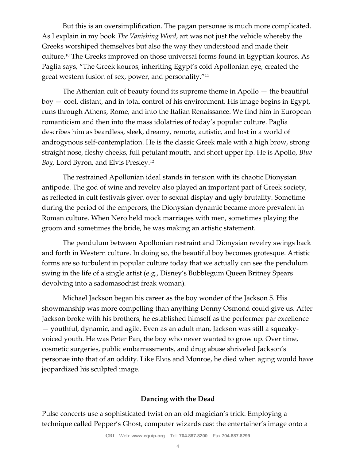But this is an oversimplification. The pagan personae is much more complicated. As I explain in my book *The Vanishing Word*, art was not just the vehicle whereby the Greeks worshiped themselves but also the way they understood and made their culture.<sup>10</sup> The Greeks improved on those universal forms found in Egyptian kouros. As Paglia says, "The Greek kouros, inheriting Egypt's cold Apollonian eye, created the great western fusion of sex, power, and personality."<sup>11</sup>

The Athenian cult of beauty found its supreme theme in Apollo — the beautiful boy — cool, distant, and in total control of his environment. His image begins in Egypt, runs through Athens, Rome, and into the Italian Renaissance. We find him in European romanticism and then into the mass idolatries of today's popular culture. Paglia describes him as beardless, sleek, dreamy, remote, autistic, and lost in a world of androgynous self-contemplation. He is the classic Greek male with a high brow, strong straight nose, fleshy cheeks, full petulant mouth, and short upper lip. He is Apollo, *Blue Boy*, Lord Byron, and Elvis Presley.<sup>12</sup>

The restrained Apollonian ideal stands in tension with its chaotic Dionysian antipode. The god of wine and revelry also played an important part of Greek society, as reflected in cult festivals given over to sexual display and ugly brutality. Sometime during the period of the emperors, the Dionysian dynamic became more prevalent in Roman culture. When Nero held mock marriages with men, sometimes playing the groom and sometimes the bride, he was making an artistic statement.

The pendulum between Apollonian restraint and Dionysian revelry swings back and forth in Western culture. In doing so, the beautiful boy becomes grotesque. Artistic forms are so turbulent in popular culture today that we actually can see the pendulum swing in the life of a single artist (e.g., Disney's Bubblegum Queen Britney Spears devolving into a sadomasochist freak woman).

Michael Jackson began his career as the boy wonder of the Jackson 5. His showmanship was more compelling than anything Donny Osmond could give us. After Jackson broke with his brothers, he established himself as the performer par excellence — youthful, dynamic, and agile. Even as an adult man, Jackson was still a squeakyvoiced youth. He was Peter Pan, the boy who never wanted to grow up. Over time, cosmetic surgeries, public embarrassments, and drug abuse shriveled Jackson's personae into that of an oddity. Like Elvis and Monroe, he died when aging would have jeopardized his sculpted image.

### **Dancing with the Dead**

Pulse concerts use a sophisticated twist on an old magician's trick. Employing a technique called Pepper's Ghost, computer wizards cast the entertainer's image onto a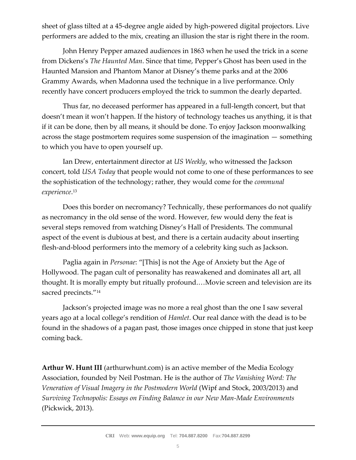sheet of glass tilted at a 45-degree angle aided by high-powered digital projectors. Live performers are added to the mix, creating an illusion the star is right there in the room.

John Henry Pepper amazed audiences in 1863 when he used the trick in a scene from Dickens's *The Haunted Man*. Since that time, Pepper's Ghost has been used in the Haunted Mansion and Phantom Manor at Disney's theme parks and at the 2006 Grammy Awards, when Madonna used the technique in a live performance. Only recently have concert producers employed the trick to summon the dearly departed.

Thus far, no deceased performer has appeared in a full-length concert, but that doesn't mean it won't happen. If the history of technology teaches us anything, it is that if it can be done, then by all means, it should be done. To enjoy Jackson moonwalking across the stage postmortem requires some suspension of the imagination — something to which you have to open yourself up.

Ian Drew, entertainment director at *US Weekly*, who witnessed the Jackson concert, told *USA Today* that people would not come to one of these performances to see the sophistication of the technology; rather, they would come for the *communal experience*. 13

Does this border on necromancy? Technically, these performances do not qualify as necromancy in the old sense of the word. However, few would deny the feat is several steps removed from watching Disney's Hall of Presidents. The communal aspect of the event is dubious at best, and there is a certain audacity about inserting flesh-and-blood performers into the memory of a celebrity king such as Jackson.

Paglia again in *Personae*: "[This] is not the Age of Anxiety but the Age of Hollywood. The pagan cult of personality has reawakened and dominates all art, all thought. It is morally empty but ritually profound.…Movie screen and television are its sacred precincts."<sup>14</sup>

Jackson's projected image was no more a real ghost than the one I saw several years ago at a local college's rendition of *Hamlet*. Our real dance with the dead is to be found in the shadows of a pagan past, those images once chipped in stone that just keep coming back.

**Arthur W. Hunt III** (arthurwhunt.com) is an active member of the Media Ecology Association, founded by Neil Postman. He is the author of *The Vanishing Word: The Veneration of Visual Imagery in the Postmodern World* (Wipf and Stock, 2003/2013) and *Surviving Technopolis: Essays on Finding Balance in our New Man-Made Environments* (Pickwick, 2013).